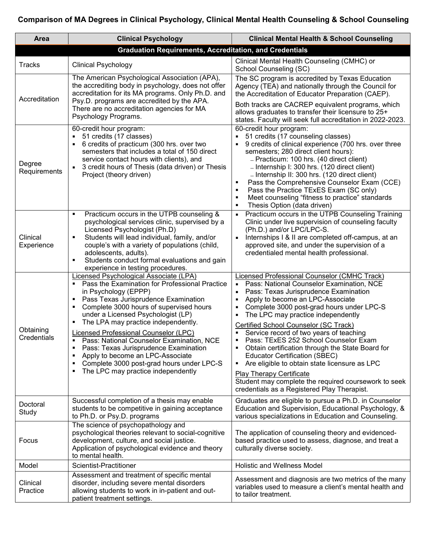## **Comparison of MA Degrees in Clinical Psychology, Clinical Mental Health Counseling & School Counseling**

| Area                                                           | <b>Clinical Psychology</b>                                                                                                                                                                                                                                                                                                                                                                                                                                                                                                                                                       | <b>Clinical Mental Health &amp; School Counseling</b>                                                                                                                                                                                                                                                                                                                                                                                                                                                                                                                                                                                                                                                                            |
|----------------------------------------------------------------|----------------------------------------------------------------------------------------------------------------------------------------------------------------------------------------------------------------------------------------------------------------------------------------------------------------------------------------------------------------------------------------------------------------------------------------------------------------------------------------------------------------------------------------------------------------------------------|----------------------------------------------------------------------------------------------------------------------------------------------------------------------------------------------------------------------------------------------------------------------------------------------------------------------------------------------------------------------------------------------------------------------------------------------------------------------------------------------------------------------------------------------------------------------------------------------------------------------------------------------------------------------------------------------------------------------------------|
| <b>Graduation Requirements, Accreditation, and Credentials</b> |                                                                                                                                                                                                                                                                                                                                                                                                                                                                                                                                                                                  |                                                                                                                                                                                                                                                                                                                                                                                                                                                                                                                                                                                                                                                                                                                                  |
| <b>Tracks</b>                                                  | <b>Clinical Psychology</b>                                                                                                                                                                                                                                                                                                                                                                                                                                                                                                                                                       | Clinical Mental Health Counseling (CMHC) or<br>School Counseling (SC)                                                                                                                                                                                                                                                                                                                                                                                                                                                                                                                                                                                                                                                            |
| Accreditation                                                  | The American Psychological Association (APA),<br>the accrediting body in psychology, does not offer<br>accreditation for its MA programs. Only Ph.D. and<br>Psy.D. programs are accredited by the APA.<br>There are no accreditation agencies for MA<br>Psychology Programs.                                                                                                                                                                                                                                                                                                     | The SC program is accredited by Texas Education<br>Agency (TEA) and nationally through the Council for<br>the Accreditation of Educator Preparation (CAEP).<br>Both tracks are CACREP equivalent programs, which<br>allows graduates to transfer their licensure to 25+<br>states. Faculty will seek full accreditation in 2022-2023.                                                                                                                                                                                                                                                                                                                                                                                            |
| Degree<br>Requirements                                         | 60-credit hour program:<br>51 credits (17 classes)<br>6 credits of practicum (300 hrs. over two<br>semesters that includes a total of 150 direct<br>service contact hours with clients), and<br>3 credit hours of Thesis (data driven) or Thesis<br>$\blacksquare$<br>Project (theory driven)                                                                                                                                                                                                                                                                                    | 60-credit hour program:<br>51 credits (17 counseling classes)<br>9 credits of clinical experience (700 hrs. over three<br>semesters; 280 direct client hours):<br>- Practicum: 100 hrs. (40 direct client)<br>- Internship I: 300 hrs. (120 direct client)<br>- Internship II: 300 hrs. (120 direct client)<br>Pass the Comprehensive Counselor Exam (CCE)<br>٠<br>Pass the Practice TExES Exam (SC only)<br>$\blacksquare$<br>Meet counseling "fitness to practice" standards<br>٠<br>Thesis Option (data driven)<br>$\blacksquare$                                                                                                                                                                                             |
| Clinical<br>Experience                                         | Practicum occurs in the UTPB counseling &<br>$\blacksquare$<br>psychological services clinic, supervised by a<br>Licensed Psychologist (Ph.D)<br>Students will lead individual, family, and/or<br>couple's with a variety of populations (child,<br>adolescents, adults).<br>Students conduct formal evaluations and gain<br>٠<br>experience in testing procedures.                                                                                                                                                                                                              | Practicum occurs in the UTPB Counseling Training<br>$\blacksquare$<br>Clinic under live supervision of counseling faculty<br>(Ph.D.) and/or LPC/LPC-S.<br>Internships I & II are completed off-campus, at an<br>$\blacksquare$<br>approved site, and under the supervision of a<br>credentialed mental health professional.                                                                                                                                                                                                                                                                                                                                                                                                      |
| Obtaining<br>Credentials                                       | Licensed Psychological Associate (LPA)<br>Pass the Examination for Professional Practice<br>in Psychology (EPPP)<br>Pass Texas Jurisprudence Examination<br>٠<br>Complete 3000 hours of supervised hours<br>٠<br>under a Licensed Psychologist (LP)<br>The LPA may practice independently.<br>٠<br><b>Licensed Professional Counselor (LPC)</b><br>Pass: National Counselor Examination, NCE<br>Pass: Texas Jurisprudence Examination<br>٠<br>Apply to become an LPC-Associate<br>٠<br>Complete 3000 post-grad hours under LPC-S<br>٠<br>The LPC may practice independently<br>٠ | Licensed Professional Counselor (CMHC Track)<br>Pass: National Counselor Examination, NCE<br>$\blacksquare$<br>Pass: Texas Jurisprudence Examination<br>Apply to become an LPC-Associate<br>Complete 3000 post-grad hours under LPC-S<br>$\blacksquare$<br>The LPC may practice independently<br>٠<br>Certified School Counselor (SC Track)<br>Service record of two years of teaching<br>Pass: TExES 252 School Counselor Exam<br>٠<br>Obtain certification through the State Board for<br><b>Educator Certification (SBEC)</b><br>Are eligible to obtain state licensure as LPC<br>٠<br><b>Play Therapy Certificate</b><br>Student may complete the required coursework to seek<br>credentials as a Registered Play Therapist. |
| Doctoral<br>Study                                              | Successful completion of a thesis may enable<br>students to be competitive in gaining acceptance<br>to Ph.D. or Psy.D. programs                                                                                                                                                                                                                                                                                                                                                                                                                                                  | Graduates are eligible to pursue a Ph.D. in Counselor<br>Education and Supervision, Educational Psychology, &<br>various specializations in Education and Counseling.                                                                                                                                                                                                                                                                                                                                                                                                                                                                                                                                                            |
| Focus                                                          | The science of psychopathology and<br>psychological theories relevant to social-cognitive<br>development, culture, and social justice.<br>Application of psychological evidence and theory<br>to mental health.                                                                                                                                                                                                                                                                                                                                                                  | The application of counseling theory and evidenced-<br>based practice used to assess, diagnose, and treat a<br>culturally diverse society.                                                                                                                                                                                                                                                                                                                                                                                                                                                                                                                                                                                       |
| Model                                                          | Scientist-Practitioner                                                                                                                                                                                                                                                                                                                                                                                                                                                                                                                                                           | <b>Holistic and Wellness Model</b>                                                                                                                                                                                                                                                                                                                                                                                                                                                                                                                                                                                                                                                                                               |
| Clinical<br>Practice                                           | Assessment and treatment of specific mental<br>disorder, including severe mental disorders<br>allowing students to work in in-patient and out-<br>patient treatment settings.                                                                                                                                                                                                                                                                                                                                                                                                    | Assessment and diagnosis are two metrics of the many<br>variables used to measure a client's mental health and<br>to tailor treatment.                                                                                                                                                                                                                                                                                                                                                                                                                                                                                                                                                                                           |